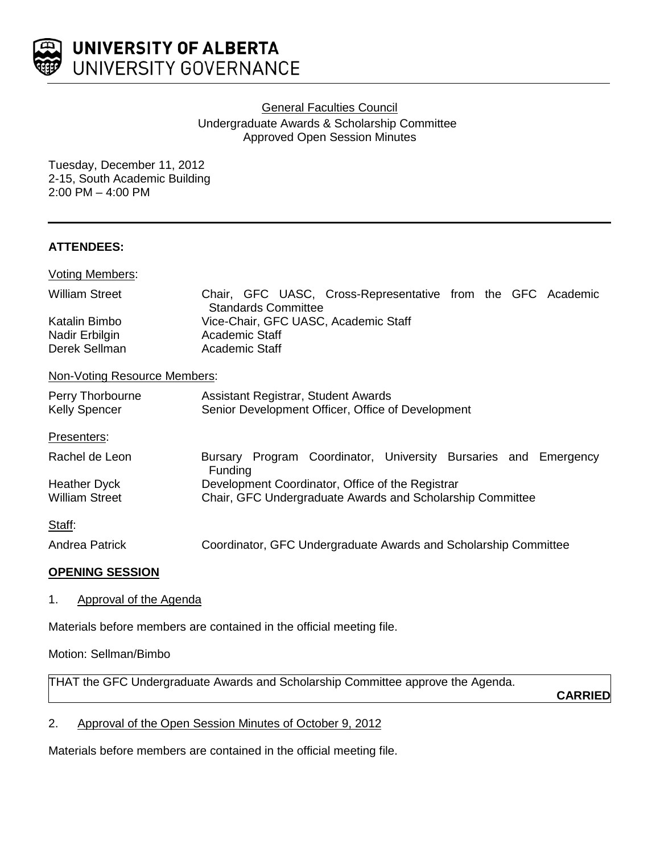

**General Faculties Council** 

Undergraduate Awards & Scholarship Committee Approved Open Session Minutes

Tuesday, December 11, 2012 2-15, South Academic Building 2:00 PM – 4:00 PM

### **ATTENDEES:**

| <b>Voting Members:</b>                   |                                                                                           |
|------------------------------------------|-------------------------------------------------------------------------------------------|
| <b>William Street</b>                    | Chair, GFC UASC, Cross-Representative from the GFC Academic<br><b>Standards Committee</b> |
| Katalin Bimbo                            | Vice-Chair, GFC UASC, Academic Staff                                                      |
| Nadir Erbilgin                           | Academic Staff                                                                            |
| Derek Sellman                            | Academic Staff                                                                            |
| Non-Voting Resource Members:             |                                                                                           |
| Perry Thorbourne<br><b>Kelly Spencer</b> | Assistant Registrar, Student Awards<br>Senior Development Officer, Office of Development  |
| Presenters:                              |                                                                                           |
| Rachel de Leon                           | Bursary Program Coordinator, University Bursaries and Emergency<br><b>Funding</b>         |
| Heather Dyck                             | Development Coordinator, Office of the Registrar                                          |
| <b>William Street</b>                    | Chair, GFC Undergraduate Awards and Scholarship Committee                                 |
| Staff:                                   |                                                                                           |
| Andrea Patrick                           | Coordinator, GFC Undergraduate Awards and Scholarship Committee                           |

#### **OPENING SESSION**

1. Approval of the Agenda

Materials before members are contained in the official meeting file.

# Motion: Sellman/Bimbo

THAT the GFC Undergraduate Awards and Scholarship Committee approve the Agenda.

**CARRIED**

2. Approval of the Open Session Minutes of October 9, 2012

Materials before members are contained in the official meeting file.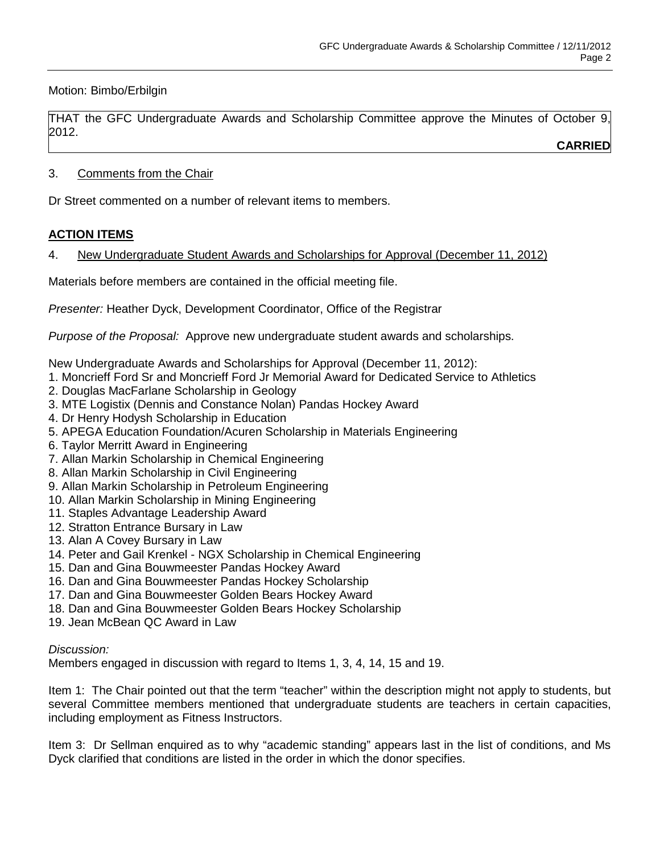Motion: Bimbo/Erbilgin

THAT the GFC Undergraduate Awards and Scholarship Committee approve the Minutes of October 9, 2012.

**CARRIED**

# 3. Comments from the Chair

Dr Street commented on a number of relevant items to members.

# **ACTION ITEMS**

4. New Undergraduate Student Awards and Scholarships for Approval (December 11, 2012)

Materials before members are contained in the official meeting file.

*Presenter:* Heather Dyck, Development Coordinator, Office of the Registrar

*Purpose of the Proposal:* Approve new undergraduate student awards and scholarships.

New Undergraduate Awards and Scholarships for Approval (December 11, 2012):

- 1. Moncrieff Ford Sr and Moncrieff Ford Jr Memorial Award for Dedicated Service to Athletics
- 2. Douglas MacFarlane Scholarship in Geology
- 3. MTE Logistix (Dennis and Constance Nolan) Pandas Hockey Award
- 4. Dr Henry Hodysh Scholarship in Education
- 5. APEGA Education Foundation/Acuren Scholarship in Materials Engineering
- 6. Taylor Merritt Award in Engineering
- 7. Allan Markin Scholarship in Chemical Engineering
- 8. Allan Markin Scholarship in Civil Engineering
- 9. Allan Markin Scholarship in Petroleum Engineering
- 10. Allan Markin Scholarship in Mining Engineering
- 11. Staples Advantage Leadership Award
- 12. Stratton Entrance Bursary in Law
- 13. Alan A Covey Bursary in Law
- 14. Peter and Gail Krenkel NGX Scholarship in Chemical Engineering
- 15. Dan and Gina Bouwmeester Pandas Hockey Award
- 16. Dan and Gina Bouwmeester Pandas Hockey Scholarship
- 17. Dan and Gina Bouwmeester Golden Bears Hockey Award
- 18. Dan and Gina Bouwmeester Golden Bears Hockey Scholarship
- 19. Jean McBean QC Award in Law

# *Discussion:*

Members engaged in discussion with regard to Items 1, 3, 4, 14, 15 and 19.

Item 1: The Chair pointed out that the term "teacher" within the description might not apply to students, but several Committee members mentioned that undergraduate students are teachers in certain capacities, including employment as Fitness Instructors.

Item 3: Dr Sellman enquired as to why "academic standing" appears last in the list of conditions, and Ms Dyck clarified that conditions are listed in the order in which the donor specifies.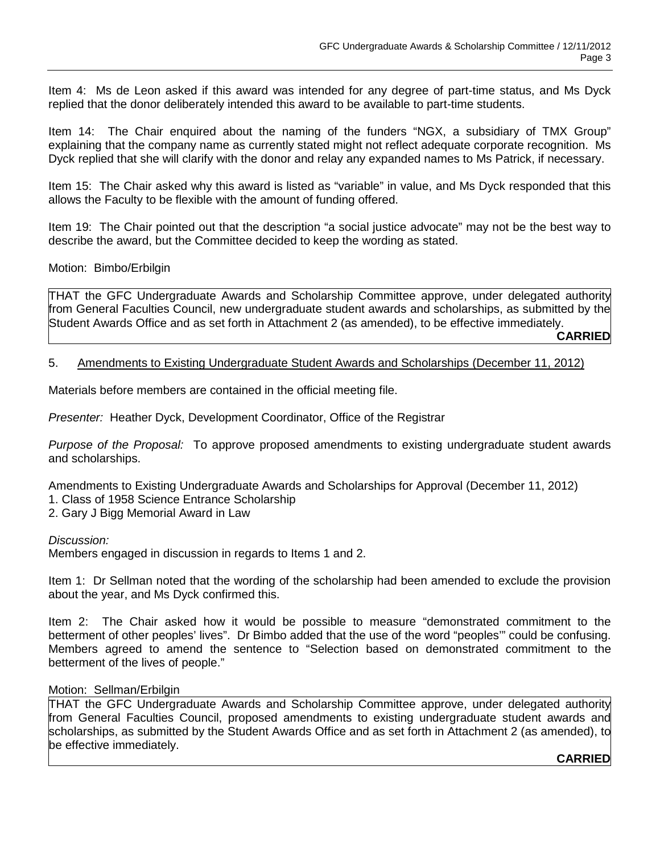Item 4: Ms de Leon asked if this award was intended for any degree of part-time status, and Ms Dyck replied that the donor deliberately intended this award to be available to part-time students.

Item 14: The Chair enquired about the naming of the funders "NGX, a subsidiary of TMX Group" explaining that the company name as currently stated might not reflect adequate corporate recognition. Ms Dyck replied that she will clarify with the donor and relay any expanded names to Ms Patrick, if necessary.

Item 15: The Chair asked why this award is listed as "variable" in value, and Ms Dyck responded that this allows the Faculty to be flexible with the amount of funding offered.

Item 19: The Chair pointed out that the description "a social justice advocate" may not be the best way to describe the award, but the Committee decided to keep the wording as stated.

Motion: Bimbo/Erbilgin

THAT the GFC Undergraduate Awards and Scholarship Committee approve, under delegated authority from General Faculties Council, new undergraduate student awards and scholarships, as submitted by the Student Awards Office and as set forth in Attachment 2 (as amended), to be effective immediately. **CARRIED**

#### 5. Amendments to Existing Undergraduate Student Awards and Scholarships (December 11, 2012)

Materials before members are contained in the official meeting file.

*Presenter:* Heather Dyck, Development Coordinator, Office of the Registrar

*Purpose of the Proposal:* To approve proposed amendments to existing undergraduate student awards and scholarships.

Amendments to Existing Undergraduate Awards and Scholarships for Approval (December 11, 2012)

1. Class of 1958 Science Entrance Scholarship

2. Gary J Bigg Memorial Award in Law

#### *Discussion:*

Members engaged in discussion in regards to Items 1 and 2.

Item 1: Dr Sellman noted that the wording of the scholarship had been amended to exclude the provision about the year, and Ms Dyck confirmed this.

Item 2: The Chair asked how it would be possible to measure "demonstrated commitment to the betterment of other peoples' lives". Dr Bimbo added that the use of the word "peoples'" could be confusing. Members agreed to amend the sentence to "Selection based on demonstrated commitment to the betterment of the lives of people."

#### Motion: Sellman/Erbilgin

THAT the GFC Undergraduate Awards and Scholarship Committee approve, under delegated authority from General Faculties Council, proposed amendments to existing undergraduate student awards and scholarships, as submitted by the Student Awards Office and as set forth in Attachment 2 (as amended), to be effective immediately.

#### **CARRIED**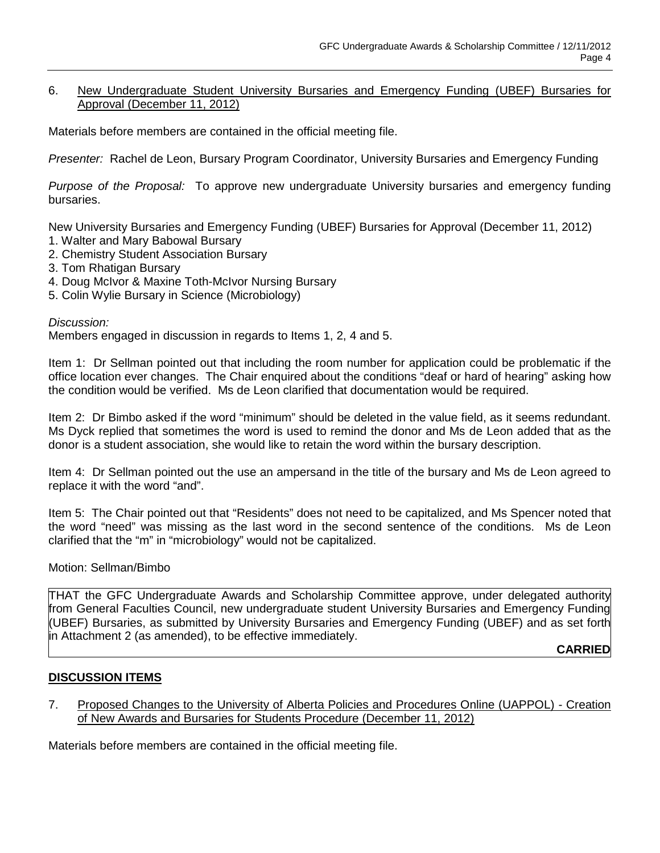### 6. New Undergraduate Student University Bursaries and Emergency Funding (UBEF) Bursaries for Approval (December 11, 2012)

Materials before members are contained in the official meeting file.

*Presenter:* Rachel de Leon, Bursary Program Coordinator, University Bursaries and Emergency Funding

*Purpose of the Proposal:* To approve new undergraduate University bursaries and emergency funding bursaries.

New University Bursaries and Emergency Funding (UBEF) Bursaries for Approval (December 11, 2012)

- 1. Walter and Mary Babowal Bursary
- 2. Chemistry Student Association Bursary
- 3. Tom Rhatigan Bursary
- 4. Doug McIvor & Maxine Toth-McIvor Nursing Bursary
- 5. Colin Wylie Bursary in Science (Microbiology)

#### *Discussion:*

Members engaged in discussion in regards to Items 1, 2, 4 and 5.

Item 1: Dr Sellman pointed out that including the room number for application could be problematic if the office location ever changes. The Chair enquired about the conditions "deaf or hard of hearing" asking how the condition would be verified. Ms de Leon clarified that documentation would be required.

Item 2: Dr Bimbo asked if the word "minimum" should be deleted in the value field, as it seems redundant. Ms Dyck replied that sometimes the word is used to remind the donor and Ms de Leon added that as the donor is a student association, she would like to retain the word within the bursary description.

Item 4: Dr Sellman pointed out the use an ampersand in the title of the bursary and Ms de Leon agreed to replace it with the word "and".

Item 5: The Chair pointed out that "Residents" does not need to be capitalized, and Ms Spencer noted that the word "need" was missing as the last word in the second sentence of the conditions. Ms de Leon clarified that the "m" in "microbiology" would not be capitalized.

Motion: Sellman/Bimbo

THAT the GFC Undergraduate Awards and Scholarship Committee approve, under delegated authority from General Faculties Council, new undergraduate student University Bursaries and Emergency Funding (UBEF) Bursaries, as submitted by University Bursaries and Emergency Funding (UBEF) and as set forth in Attachment 2 (as amended), to be effective immediately.

**CARRIED**

### **DISCUSSION ITEMS**

7. Proposed Changes to the University of Alberta Policies and Procedures Online (UAPPOL) - Creation of New Awards and Bursaries for Students Procedure (December 11, 2012)

Materials before members are contained in the official meeting file.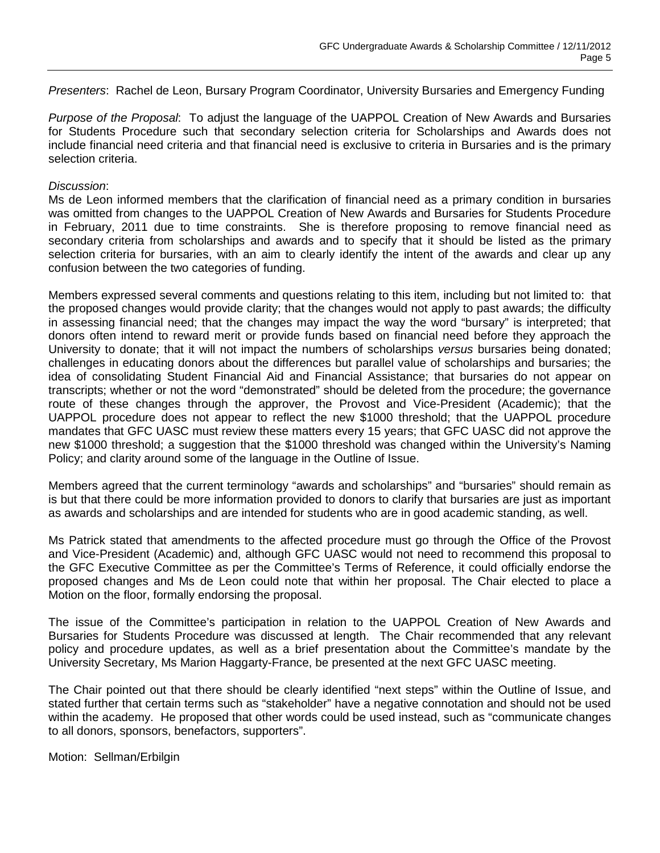*Presenters*: Rachel de Leon, Bursary Program Coordinator, University Bursaries and Emergency Funding

*Purpose of the Proposal*: To adjust the language of the UAPPOL Creation of New Awards and Bursaries for Students Procedure such that secondary selection criteria for Scholarships and Awards does not include financial need criteria and that financial need is exclusive to criteria in Bursaries and is the primary selection criteria.

### *Discussion*:

Ms de Leon informed members that the clarification of financial need as a primary condition in bursaries was omitted from changes to the UAPPOL Creation of New Awards and Bursaries for Students Procedure in February, 2011 due to time constraints. She is therefore proposing to remove financial need as secondary criteria from scholarships and awards and to specify that it should be listed as the primary selection criteria for bursaries, with an aim to clearly identify the intent of the awards and clear up any confusion between the two categories of funding.

Members expressed several comments and questions relating to this item, including but not limited to: that the proposed changes would provide clarity; that the changes would not apply to past awards; the difficulty in assessing financial need; that the changes may impact the way the word "bursary" is interpreted; that donors often intend to reward merit or provide funds based on financial need before they approach the University to donate; that it will not impact the numbers of scholarships *versus* bursaries being donated; challenges in educating donors about the differences but parallel value of scholarships and bursaries; the idea of consolidating Student Financial Aid and Financial Assistance; that bursaries do not appear on transcripts; whether or not the word "demonstrated" should be deleted from the procedure; the governance route of these changes through the approver, the Provost and Vice-President (Academic); that the UAPPOL procedure does not appear to reflect the new \$1000 threshold; that the UAPPOL procedure mandates that GFC UASC must review these matters every 15 years; that GFC UASC did not approve the new \$1000 threshold; a suggestion that the \$1000 threshold was changed within the University's Naming Policy; and clarity around some of the language in the Outline of Issue.

Members agreed that the current terminology "awards and scholarships" and "bursaries" should remain as is but that there could be more information provided to donors to clarify that bursaries are just as important as awards and scholarships and are intended for students who are in good academic standing, as well.

Ms Patrick stated that amendments to the affected procedure must go through the Office of the Provost and Vice-President (Academic) and, although GFC UASC would not need to recommend this proposal to the GFC Executive Committee as per the Committee's Terms of Reference, it could officially endorse the proposed changes and Ms de Leon could note that within her proposal. The Chair elected to place a Motion on the floor, formally endorsing the proposal.

The issue of the Committee's participation in relation to the UAPPOL Creation of New Awards and Bursaries for Students Procedure was discussed at length. The Chair recommended that any relevant policy and procedure updates, as well as a brief presentation about the Committee's mandate by the University Secretary, Ms Marion Haggarty-France, be presented at the next GFC UASC meeting.

The Chair pointed out that there should be clearly identified "next steps" within the Outline of Issue, and stated further that certain terms such as "stakeholder" have a negative connotation and should not be used within the academy. He proposed that other words could be used instead, such as "communicate changes to all donors, sponsors, benefactors, supporters".

Motion: Sellman/Erbilgin